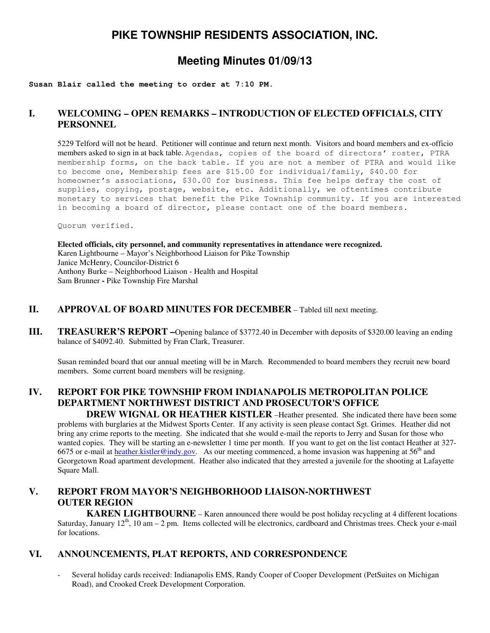# **PIKE TOWNSHIP RESIDENTS ASSOCIATION, INC.**

# **Meeting Minutes 01/09/13**

#### **Susan Blair called the meeting to order at 7:10 PM.**

# **I. WELCOMING – OPEN REMARKS – INTRODUCTION OF ELECTED OFFICIALS, CITY PERSONNEL**

5229 Telford will not be heard. Petitioner will continue and return next month. Visitors and board members and ex-officio members asked to sign in at back table. Agendas, copies of the board of directors' roster, PTRA membership forms, on the back table. If you are not a member of PTRA and would like to become one, Membership fees are \$15.00 for individual/family, \$40.00 for homeowner's associations, \$30.00 for business. This fee helps defray the cost of supplies, copying, postage, website, etc. Additionally, we oftentimes contribute monetary to services that benefit the Pike Township community. If you are interested in becoming a board of director, please contact one of the board members.

Quorum verified.

**Elected officials, city personnel, and community representatives in attendance were recognized.**  Karen Lightbourne – Mayor's Neighborhood Liaison for Pike Township Janice McHenry, Councilor-District 6 Anthony Burke – Neighborhood Liaison - Health and Hospital Sam Brunner **-** Pike Township Fire Marshal

#### **II. APPROVAL OF BOARD MINUTES FOR DECEMBER** – Tabled till next meeting.

**III. TREASURER'S REPORT –**Opening balance of \$3772.40 in December with deposits of \$320.00 leaving an ending balance of \$4092.40. Submitted by Fran Clark, Treasurer.

Susan reminded board that our annual meeting will be in March. Recommended to board members they recruit new board members. Some current board members will be resigning.

# **IV. REPORT FOR PIKE TOWNSHIP FROM INDIANAPOLIS METROPOLITAN POLICE DEPARTMENT NORTHWEST DISTRICT AND PROSECUTOR'S OFFICE**

 **DREW WIGNAL OR HEATHER KISTLER** –Heather presented. She indicated there have been some problems with burglaries at the Midwest Sports Center. If any activity is seen please contact Sgt. Grimes. Heather did not bring any crime reports to the meeting. She indicated that she would e-mail the reports to Jerry and Susan for those who wanted copies. They will be starting an e-newsletter 1 time per month. If you want to get on the list contact Heather at 327- 6675 or e-mail at heather.kistler@indy.gov. As our meeting commenced, a home invasion was happening at  $56<sup>th</sup>$  and Georgetown Road apartment development. Heather also indicated that they arrested a juvenile for the shooting at Lafayette Square Mall.

# **V. REPORT FROM MAYOR'S NEIGHBORHOOD LIAISON-NORTHWEST OUTER REGION**

**KAREN LIGHTBOURNE** – Karen announced there would be post holiday recycling at 4 different locations Saturday, January  $12<sup>th</sup>$ , 10 am – 2 pm. Items collected will be electronics, cardboard and Christmas trees. Check your e-mail for locations.

## **VI. ANNOUNCEMENTS, PLAT REPORTS, AND CORRESPONDENCE**

Several holiday cards received: Indianapolis EMS, Randy Cooper of Cooper Development (PetSuites on Michigan Road), and Crooked Creek Development Corporation.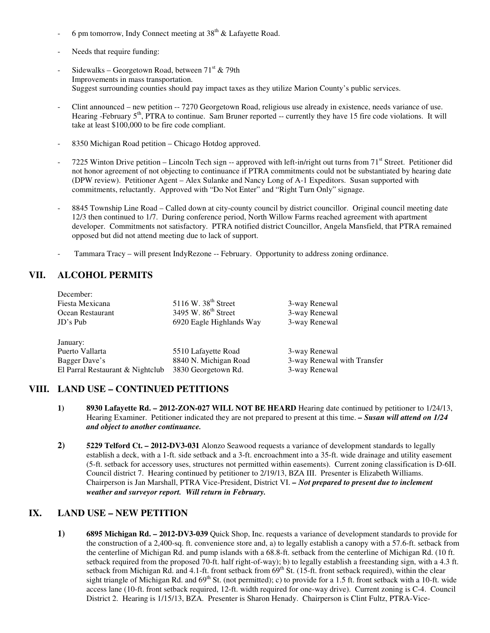- 6 pm tomorrow, Indy Connect meeting at  $38<sup>th</sup>$  & Lafayette Road.
- Needs that require funding:
- Sidewalks Georgetown Road, between  $71<sup>st</sup>$  & 79th Improvements in mass transportation. Suggest surrounding counties should pay impact taxes as they utilize Marion County's public services.
- Clint announced new petition -- 7270 Georgetown Road, religious use already in existence, needs variance of use. Hearing -February  $5<sup>th</sup>$ , PTRA to continue. Sam Bruner reported -- currently they have 15 fire code violations. It will take at least \$100,000 to be fire code compliant.
- 8350 Michigan Road petition Chicago Hotdog approved.
- 7225 Winton Drive petition Lincoln Tech sign -- approved with left-in/right out turns from  $71<sup>st</sup>$  Street. Petitioner did not honor agreement of not objecting to continuance if PTRA commitments could not be substantiated by hearing date (DPW review). Petitioner Agent – Alex Sulanke and Nancy Long of A-1 Expeditors. Susan supported with commitments, reluctantly. Approved with "Do Not Enter" and "Right Turn Only" signage.
- 8845 Township Line Road Called down at city-county council by district councillor. Original council meeting date 12/3 then continued to 1/7. During conference period, North Willow Farms reached agreement with apartment developer. Commitments not satisfactory. PTRA notified district Councillor, Angela Mansfield, that PTRA remained opposed but did not attend meeting due to lack of support.
- Tammara Tracy will present IndyRezone -- February. Opportunity to address zoning ordinance.

## **VII. ALCOHOL PERMITS**

| December:                        |                                 |                             |
|----------------------------------|---------------------------------|-----------------------------|
| Fiesta Mexicana                  | $5116$ W. $38th$ Street         | 3-way Renewal               |
| Ocean Restaurant                 | 3495 W. 86 <sup>th</sup> Street | 3-way Renewal               |
| $JD$ 's Pub                      | 6920 Eagle Highlands Way        | 3-way Renewal               |
|                                  |                                 |                             |
| January:                         |                                 |                             |
| Puerto Vallarta                  | 5510 Lafayette Road             | 3-way Renewal               |
| Bagger Dave's                    | 8840 N. Michigan Road           | 3-way Renewal with Transfer |
| El Parral Restaurant & Nightclub | 3830 Georgetown Rd.             | 3-way Renewal               |
|                                  |                                 |                             |

## **VIII. LAND USE – CONTINUED PETITIONS**

- **1) 8930 Lafayette Rd. 2012-ZON-027 WILL NOT BE HEARD** Hearing date continued by petitioner to 1/24/13, Hearing Examiner. Petitioner indicated they are not prepared to present at this time. *– Susan will attend on 1/24 and object to another continuance.*
- **2) 5229 Telford Ct. 2012-DV3-031** Alonzo Seawood requests a variance of development standards to legally establish a deck, with a 1-ft. side setback and a 3-ft. encroachment into a 35-ft. wide drainage and utility easement (5-ft. setback for accessory uses, structures not permitted within easements). Current zoning classification is D-6II. Council district 7. Hearing continued by petitioner to 2/19/13, BZA III. Presenter is Elizabeth Williams. Chairperson is Jan Marshall, PTRA Vice-President, District VI. *– Not prepared to present due to inclement weather and surveyor report. Will return in February.*

## **IX. LAND USE – NEW PETITION**

**1) 6895 Michigan Rd. – 2012-DV3-039** Quick Shop, Inc. requests a variance of development standards to provide for the construction of a 2,400-sq. ft. convenience store and, a) to legally establish a canopy with a 57.6-ft. setback from the centerline of Michigan Rd. and pump islands with a 68.8-ft. setback from the centerline of Michigan Rd. (10 ft. setback required from the proposed 70-ft. half right-of-way); b) to legally establish a freestanding sign, with a 4.3 ft. setback from Michigan Rd. and 4.1-ft. front setback from 69<sup>th</sup> St. (15-ft. front setback required), within the clear sight triangle of Michigan Rd. and  $69^{th}$  St. (not permitted); c) to provide for a 1.5 ft. front setback with a 10-ft. wide access lane (10-ft. front setback required, 12-ft. width required for one-way drive). Current zoning is C-4. Council District 2. Hearing is 1/15/13, BZA. Presenter is Sharon Henady. Chairperson is Clint Fultz, PTRA-Vice